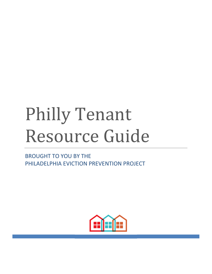# Philly Tenant Resource Guide

BROUGHT TO YOU BY THE PHILADELPHIA EVICTION PREVENTION PROJECT

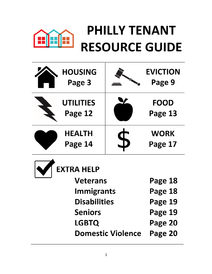## PHILLY TENANT **RESOURCE GUIDE**

| <b>HOUSING</b><br>Page 3                                                         | <b>EVICTION</b><br>Page 9     |
|----------------------------------------------------------------------------------|-------------------------------|
| <b>UTILITIES</b><br>Page 12                                                      | <b>FOOD</b><br>Page 13        |
| <b>HEALTH</b><br>Page 14                                                         | <b>WORK</b><br>Page 17        |
| <b>EXTRA HELP</b><br><b>Veterans</b><br><b>Immigrants</b><br><b>Disabilities</b> | Page 18<br>Page 18<br>Page 19 |

1

**Seniors Page 19** 

**LGBTQ Page 20** 

**Domestic Violence Page 20**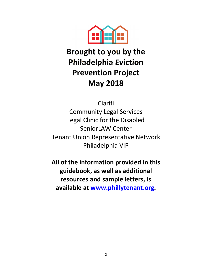

### **Brought to you by the Philadelphia Eviction Prevention Project May 2018**

Clarifi

Community Legal Services Legal Clinic for the Disabled SeniorLAW Center Tenant Union Representative Network Philadelphia VIP

**All of the information provided in this guidebook, as well as additional resources and sample letters, is available at www.phillytenant.org.**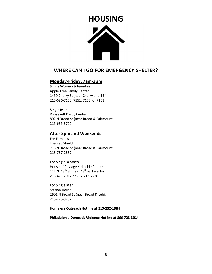# **HOUSING**Â

### **WHERE CAN I GO FOR EMERGENCY SHELTER?**

### **Monday-Friday, 7am-3pm**

**Single Women & Families**  Apple Tree Family Center 1430 Cherry St (near Cherry and 15<sup>th</sup>) 215-686-7150, 7151, 7152, or 7153

### **Single Men**

Roosevelt Darby Center 802 N Broad St (near Broad & Fairmount) 215-685-3700

### **After 3pm and Weekends**

**For Families**  The Red Shield 715 N Broad St (near Broad & Fairmount) 215-787-2887

### **For Single Women**

House of Passage Kirkbride Center 111 N  $48^{th}$  St (near  $48^{th}$  & Haverford) 215-471-2017 or 267-713-7778

**For Single Men** 

Station House 2601 N Broad St (near Broad & Lehigh) 215-225-9232

### **Homeless Outreach Hotline at 215-232-1984**

**Philadelphia Domestic Violence Hotline at 866-723-3014**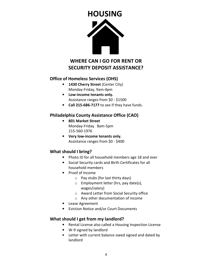

### **WHERE CAN I GO FOR RENT OR SECURITY DEPOSIT ASSISTANCE?**

### **Office of Homeless Services (OHS)**

- **1430 Cherry Street** (Center City) Monday-Friday, 9am-4pm
- **Low-income tenants only.**  Assistance ranges from \$0 - \$1500
- **Call 215-686-7177** to see if they have funds.

### **Philadelphia County Assistance Office (CAO)**

- **801 Market Street**  Monday-Friday 8am-5pm 215-560-1976
- **Very low-income tenants only.**  Assistance ranges from \$0 - \$400

### **What should I bring?**

- Photo ID for all household members age 18 and over
- Social Security cards and Birth Certificates for all household members
- Proof of Income
	- $\circ$  Pay stubs (for last thirty days)
	- $\circ$  Employment letter (hrs, pay date(s), wages/salary)
	- o Award Letter from Social Security office
	- o Any other documentation of income
- Lease Agreement
- Eviction Notice and/or Court Documents

### **What should I get from my landlord?**

- Rental License also called a Housing Inspection License
- W-9 signed by landlord
- Letter with current balance owed signed and dated by landlord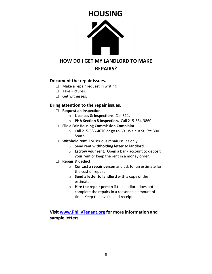

### **HOW DO I GET MY LANDLORD TO MAKE**

### **REPAIRS?**

### **Document the repair issues.**

- $\Box$  Make a repair request in writing.
- □ Take Pictures.
- □ Get witnesses.

### **Bring attention to the repair issues.**

- □ **Request an Inspection** 
	- o **Licenses & Inspections.** Call 311.
	- o **PHA Section 8 Inspection.** Call 215-684-3860.
- □ **File a Fair Housing Commission Complaint.**
	- o Call 215-686-4670 or go to 601 Walnut St, Ste 300 South
- □ **Withhold rent.** For serious repair issues only.
	- o **Send rent withholding letter to landlord.**
	- o **Escrow your rent.** Open a bank account to deposit your rent or keep the rent in a money order.
- □ **Repair & deduct.** 
	- o **Contact a repair person** and ask for an estimate for the cost of repair.
	- o **Send a letter to landlord** with a copy of the estimate.
	- o **Hire the repair person** if the landlord does not complete the repairs in a reasonable amount of time. Keep the invoice and receipt.

**Visit www.PhillyTenant.org for more information and sample letters.**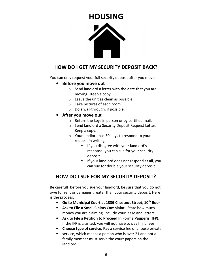### **HOUSING**



### **HOW DO I GET MY SECURITY DEPOSIT BACK?**

You can only request your full security deposit after you move.

- **Before you move out** 
	- $\circ$  Send landlord a letter with the date that you are moving. Keep a copy.
	- o Leave the unit as clean as possible.
	- o Take pictures of each room.
	- o Do a walkthrough, if possible.

### • **After you move out**

- o Return the keys in person or by certified mail.
- o Send landlord a Security Deposit Request Letter. Keep a copy.
- o Your landlord has 30 days to respond to your request in writing.
	- **If you disagree with your landlord's** response, you can sue for your security deposit.
	- **If your landlord does not respond at all, you** can sue for double your security deposit.

### **HOW DO I SUE FOR MY SECURITY DEPOSIT?**

Be careful!Before you sue your landlord, be sure that you do not owe for rent or damages greater than your security deposit. Here is the process:

- **Go to Municipal Court at 1339 Chestnut Street, 10th floor**
- **Ask to File a Small Claims Complaint.** State how much money you are claiming. Include your lease and letters.
- **Ask to File a Petition to Proceed In Forma Pauperis (IFP).** If the IFP is granted, you will not have to pay filing fees.
- **Choose type of service.** Pay a service fee or choose private
- service, which means a person who is over 21 and not a family member must serve the court papers on the landlord.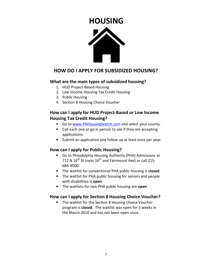### **HOUSING**



### **HOW DO I APPLY FOR SUBSIDIZED HOUSING?**

### **What are the main types of subsidized housing?**

- 1. HUD Project-Based Housing
- 2. Low Income Housing Tax Credit Housing
- 3. Public Housing
- 4. Section 8 Housing Choice Voucher

### **How can I apply for HUD Project-Based or Low Income Housing Tax Credit Housing?**

- Go to www.PAHousingSearch.com and select your county.
- Call each one or go in person to see if they are accepting applications.
- Submit an application and follow up at least once per year.

### **How can I apply for Public Housing?**

- Go to Philadelphia Housing Authority (PHA) Admissions at 712 N  $16^{th}$  St (near  $16^{th}$  and Fairmount Ave) or call 215-684-4000.
- The waitlist for conventional PHA public housing is **closed**.
- The waitlist for PHA public housing for seniors and people with disabilities is **open**.
- The waitlists for non-PHA public housing are **open**.

### **How can I apply for Section 8 Housing Choice Voucher?**

• The waitlist for the Section 8 Housing Choice Voucher program is **closed**. The waitlist was open for 3 weeks in the March 2010 and has not been open since.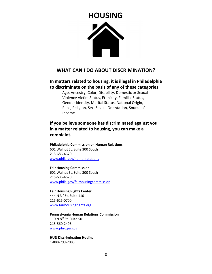# **HOUSING**Â

### **WHAT CAN I DO ABOUT DISCRIMINATION?**

### **In matters related to housing, it is illegal in Philadelphia to discriminate on the basis of any of these categories:**

Age, Ancestry, Color, Disability, Domestic or Sexual Violence Victim Status, Ethnicity, Familial Status, Gender Identity, Marital Status, National Origin, Race, Religion, Sex, Sexual Orientation, Source of Income

**If you believe someone has discriminated against you in a matter related to housing, you can make a complaint.** 

**Philadelphia Commission on Human Relations**  601 Walnut St, Suite 300 South 215-686-4670 www.phila.gov/humanrelations

### **Fair Housing Commission**

601 Walnut St, Suite 300 South 215-686-4670 www.phila.gov/fairhousingcommission

**Fair Housing Rights Center**  444 N 3rd St, Suite 110 215-625-0700 www.fairhousingrights.org

**Pennsylvania Human Relations Commission**  110 N  $8^{\text{th}}$  St, Suite 501 215-560-2496 www.phrc.pa.gov

**HUD Discrimination Hotline**  1-888-799-2085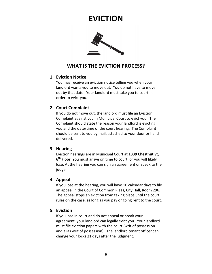### **EVICTION**



### **WHAT IS THE EVICTION PROCESS?**

### **1. Eviction Notice**

You may receive an eviction notice telling you when your landlord wants you to move out. You do not have to move out by that date. Your landlord must take you to court in order to evict you.

### **2. Court Complaint**

If you do not move out, the landlord must file an Eviction Complaint against you in Municipal Court to evict you. The Complaint should state the reason your landlord is evicting you and the date/time of the court hearing. The Complaint should be sent to you by mail, attached to your door or hand delivered.

### **3. Hearing**

Eviction hearings are in Municipal Court at **1339 Chestnut St, 6 th Floor**. You must arrive on time to court, or you will likely lose. At the hearing you can sign an agreement or speak to the judge.

### **4. Appeal**

If you lose at the hearing, you will have 10 calendar days to file an appeal in the Court of Common Pleas, City Hall, Room 296. The appeal stops an eviction from taking place until the court rules on the case, as long as you pay ongoing rent to the court.

### **5. Eviction**

If you lose in court and do not appeal or break your agreement, your landlord can legally evict you. Your landlord must file eviction papers with the court (writ of possession and alias writ of possession). The landlord tenant officer can change your locks 21 days after the judgment.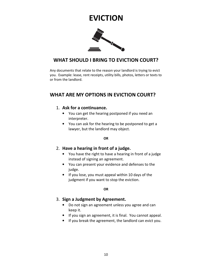### **EVICTION**



### **WHAT SHOULD I BRING TO EVICTION COURT?**

Any documents that relate to the reason your landlord is trying to evict you. Example: lease, rent receipts, utility bills, photos, letters or texts to or from the landlord.

### **WHAT ARE MY OPTIONS IN EVICTION COURT?**

### 1. **Ask for a continuance.**

- You can get the hearing postponed if you need an interpreter.
- You can ask for the hearing to be postponed to get a lawyer, but the landlord may object.

### **OR**

### 2. **Have a hearing in front of a judge.**

- You have the right to have a hearing in front of a judge instead of signing an agreement.
- You can present your evidence and defenses to the judge.
- If you lose, you must appeal within 10 days of the judgment if you want to stop the eviction.

### **OR**

### 3. **Sign a Judgment by Agreement.**

- Do not sign an agreement unless you agree and can keep it.
- If you sign an agreement, it is final. You cannot appeal.
- If you break the agreement, the landlord can evict you.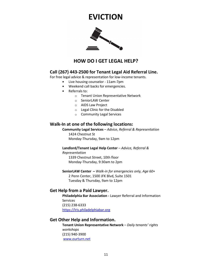### **EVICTION**



### **HOW DO I GET LEGAL HELP?**

### **Call (267) 443-2500 for Tenant Legal Aid Referral Line.**

For free legal advice & representation for low-income tenants.

- Live housing counselor 11am-7pm
- Weekend call backs for emergencies.
- Referrals to:
	- o Tenant Union Representative Network
	- o SeniorLAW Center
	- o AIDS Law Project
	- o Legal Clinic for the Disabled
	- o Community Legal Services

### **Walk-In at one of the following locations:**

**Community Legal Services** – *Advice, Referral & Representation* 1424 Chestnut St Monday-Thursday, 9am to 12pm

### **Landlord/Tenant Legal Help Center** – *Advice, Referral &*

*Representation* 1339 Chestnut Street, 10th floor Monday-Thursday, 9:30am to 2pm

**SeniorLAW Center –** *Walk-in for emergencies only, Age 60+* 2 Penn Center, 1500 JFK Blvd, Suite 1501 Tuesday & Thursday, 9am to 12pm

### **Get Help from a Paid Lawyer.**

**Philadelphia Bar Association -** Lawyer Referral and Information **Services** (215) 238-6333 https://lris.philadelphiabar.org

### **Get Other Help and Information.**

**Tenant Union Representative Network** – *Daily tenants' rights workshops* (215) 940-3900 www.ourturn.net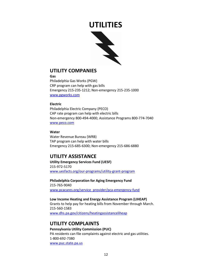

### **UTILITY COMPANIES**

**Gas** 

Philadelphia Gas Works (PGW) CRP program can help with gas bills Emergency 215-235-1212; Non-emergency 215-235-1000 www.pgworks.com

### **Electric**

Philadelphia Electric Company (PECO) CAP rate program can help with electric bills Non-emergency 800-494-4000; Assistance Programs 800-774-7040 www.peco.com

### **Water**

Water Revenue Bureau (WRB) TAP program can help with water bills Emergency 215-685-6300; Non-emergency 215-686-6880

### **UTILITY ASSISTANCE**

**Utility Emergency Services Fund (UESF)**  215-972-5170 www.uesfacts.org/our-programs/utility-grant-program

**Philadelphia Corporation for Aging Emergency Fund**  215-765-9040 www.pcacares.org/service\_provider/pca-emergency-fund

**Low Income Heating and Energy Assistance Program (LIHEAP)**  Grants to help pay for heating bills from November through March. 215-560-1583 www.dhs.pa.gov/citizens/heatingassistanceliheap

### **UTILITY COMPLAINTS**

### **Pennsylvania Utility Commission (PUC)**

PA residents can file complaints against electric and gas utilities. 1-800-692-7380 www.puc.state.pa.us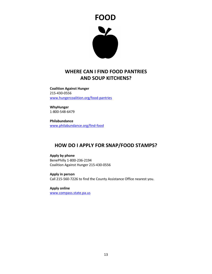

### **WHERE CAN I FIND FOOD PANTRIES AND SOUP KITCHENS?**

**Coalition Against Hunger**  215-430-0556 www.hungercoalition.org/food-pantries

**WhyHunger**  1-800-548-6479

**Philabundance**  www.philabundance.org/find-food

### **HOW DO I APPLY FOR SNAP/FOOD STAMPS?**

**Apply by phone**  BenePhilly 1-800-236-2194 Coalition Against Hunger 215-430-0556

**Apply in person**  Call 215-560-7226 to find the County Assistance Office nearest you.

**Apply online**  www.compass.state.pa.us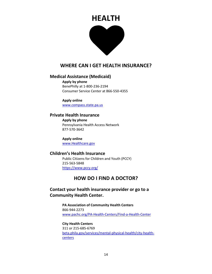### **HEALTH**



### **WHERE CAN I GET HEALTH INSURANCE?**

### **Medical Assistance (Medicaid)**

**Apply by phone**  BenePhilly at 1-800-236-2194 Consumer Service Center at 866-550-4355

**Apply online**  www.compass.state.pa.us

### **Private Health Insurance**

**Apply by phone**  Pennsylvania Health Access Network 877-570-3642

**Apply online**  www.Healthcare.gov

### **Children's Health Insurance**

 Public Citizens for Children and Youth (PCCY) 215-563-5848 https://www.pccy.org/

### **HOW DO I FIND A DOCTOR?**

### **Contact your health insurance provider or go to a Community Health Center.**

**PA Association of Community Health Centers**  866-944-2273 www.pachc.org/PA-Health-Centers/Find-a-Health-Center

**City Health Centers**  311 or 215-685-6769 beta.phila.gov/services/mental-physical-health/city-healthcenters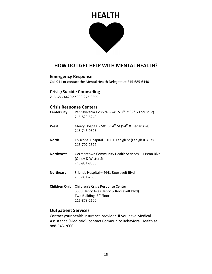### **HEALTH**



### **HOW DO I GET HELP WITH MENTAL HEALTH?**

### **Emergency Response**

Call 911 or contact the Mental Health Delegate at 215-685-6440

### **Crisis/Suicide Counseling**

215-686-4420 or 800-273-8255

### **Crisis Response Centers**

| <b>Center City</b>   | Pennsylvania Hospital - 245 S 8 <sup>th</sup> St (8 <sup>th</sup> & Locust St)<br>215-829-5249                          |
|----------------------|-------------------------------------------------------------------------------------------------------------------------|
| West                 | Mercy Hospital - 501 S 54 <sup>th</sup> St (54 <sup>th</sup> & Cedar Ave)<br>215-748-9525                               |
| <b>North</b>         | Episcopal Hospital – 100 E Lehigh St (Lehigh & A St)<br>215-707-2577                                                    |
| <b>Northwest</b>     | Germantown Community Health Services - 1 Penn Blvd<br>(Olney & Wister St)<br>215-951-8300                               |
| <b>Northeast</b>     | Friends Hospital - 4641 Roosevelt Blvd<br>215-831-2600                                                                  |
| <b>Children Only</b> | Children's Crisis Response Center<br>3300 Henry Ave (Henry & Roosevelt Blvd)<br>Two Building, 3rd Floor<br>215-878-2600 |

### **Outpatient Services**

Contact your health insurance provider. If you have Medical Assistance (Medicaid), contact Community Behavioral Health at 888-545-2600.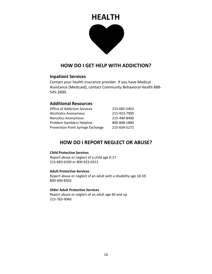### **HEALTH**



### **HOW DO I GET HELP WITH ADDICTION?**

### **Inpatient Services**

Contact your health insurance provider. If you have Medical Assistance (Medicaid), contact Community Behavioral Health 888- 545-2600.

### **Additional Resources**

| <b>Office of Addiction Services</b> | 215-685-5403 |
|-------------------------------------|--------------|
| <b>Alcoholics Anonymous</b>         | 215-923-7900 |
| <b>Narcotics Anonymous</b>          | 215-440-8400 |
| <b>Problem Gamblers Helpline</b>    | 800-848-1880 |
| Prevention Point Syringe Exchange   | 215-634-5272 |

### **HOW DO I REPORT NEGLECT OR ABUSE?**

### **Child Protective Services**

Report abuse or neglect of a child age 0-17 215-683-6100 or 800-923-0313

### **Adult Protective Services**

Report abuse or neglect of an adult with a disability age 18-59 800-490-8505

### **Older Adult Protective Services**

Report abuse or neglect of an adult age 60 and up 215-765-9040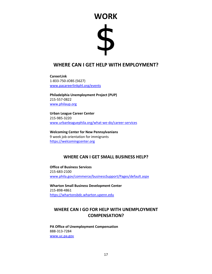# **WORK**\$

### **WHERE CAN I GET HELP WITH EMPLOYMENT?**

**CareerLink**  1-833-750-JOBS (5627) www.pacareerlinkphl.org/events

**Philadelphia Unemployment Project (PUP)**  215-557-0822 www.philaup.org

**Urban League Career Center**  215-985-3220 www.urbanleaguephila.org/what-we-do/career-services

**Welcoming Center for New Pennsylvanians**  9 week job orientation for immigrants https://welcomingcenter.org

### **WHERE CAN I GET SMALL BUSINESS HELP?**

**Office of Business Services**  215-683-2100 www.phila.gov/commerce/businessSupport/Pages/default.aspx

**Wharton Small Business Development Center**  215-898-4861 https://whartonsbdc.wharton.upenn.edu

### **WHERE CAN I GO FOR HELP WITH UNEMPLOYMENT COMPENSATION?**

**PA Office of Unemployment Compensation**  888-313-7284 www.uc.pa.gov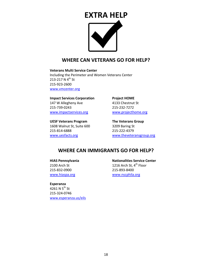# **EXTRA HELP**

### **WHERE CAN VETERANS GO FOR HELP?**

**Veterans Multi Service Center**  Including the Perimeter and Women Veterans Center 213-217 N 4<sup>th</sup> St 215-923-2600 www.vmcenter.org

**Impact Services Corporation Project HOME** 147 W Allegheny Ave 4133 Chestnut St 215-739-0243 215-232-7272 www.impactservices.org www.projecthome.org

**UESF Veterans Program The Veterans Group**  1608 Walnut St, Suite 600 3209 Baring St 215-814-6888 215-222-4379

www.uesfacts.org www.theveteransgroup.org

### **WHERE CAN IMMIGRANTS GO FOR HELP?**

215-832-0900 215-893-8400 www.hiaspa.org www.nscphila.org

**Esperanza** 

4261 N 5<sup>th</sup> St 215-324-0746 www.esperanza.us/eils

**HIAS Pennsylvania** Nationalities Service Center 2100 Arch St 2000 2000 1216 Arch St, 4<sup>th</sup> Floor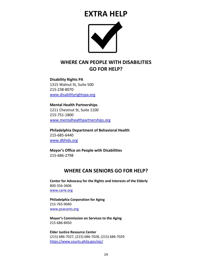### **EXTRA HELP**



### **WHERE CAN PEOPLE WITH DISABILITIES GO FOR HELP?**

**Disability Rights PA**  1315 Walnut St, Suite 500 215-238-8070 www.disabilityrightspa.org

**Mental Health Partnerships**  1211 Chestnut St, Suite 1100 215-751-1800 www.mentalhealthpartnerships.org

**Philadelphia Department of Behavioral Health**  215-685-6440 www.dbhids.org

**Mayor's Office on People with Disabilities**  215-686-2798

### **WHERE CAN SENIORS GO FOR HELP?**

**Center for Advocacy for the Rights and Interests of the Elderly**  800-356-3606 www.carie.org

**Philadelphia Corporation for Aging**  215-765-9040 www.pcacares.org

**Mayor's Commission on Services to the Aging**  215-686-8450

**Elder Justice Resource Center**  (215) 686-7027, (215) 686-7028, (215) 686-7029 https://www.courts.phila.gov/ejc/